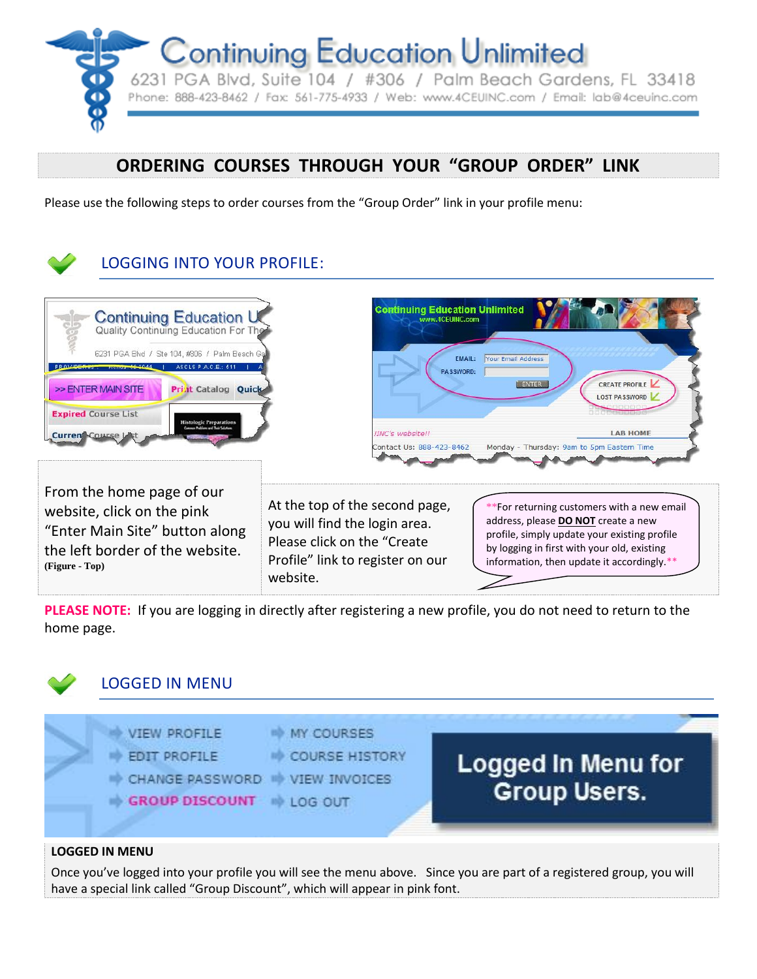

# **ORDERING COURSES THROUGH YOUR "GROUP ORDER" LINK**

Please use the following steps to order courses from the "Group Order" link in your profile menu:



**PLEASE NOTE:** If you are logging in directly after registering a new profile, you do not need to return to the home page.



## LOGGED IN MENU



## **LOGGED IN MENU**

Once you've logged into your profile you will see the menu above. Since you are part of a registered group, you will have a special link called "Group Discount", which will appear in pink font.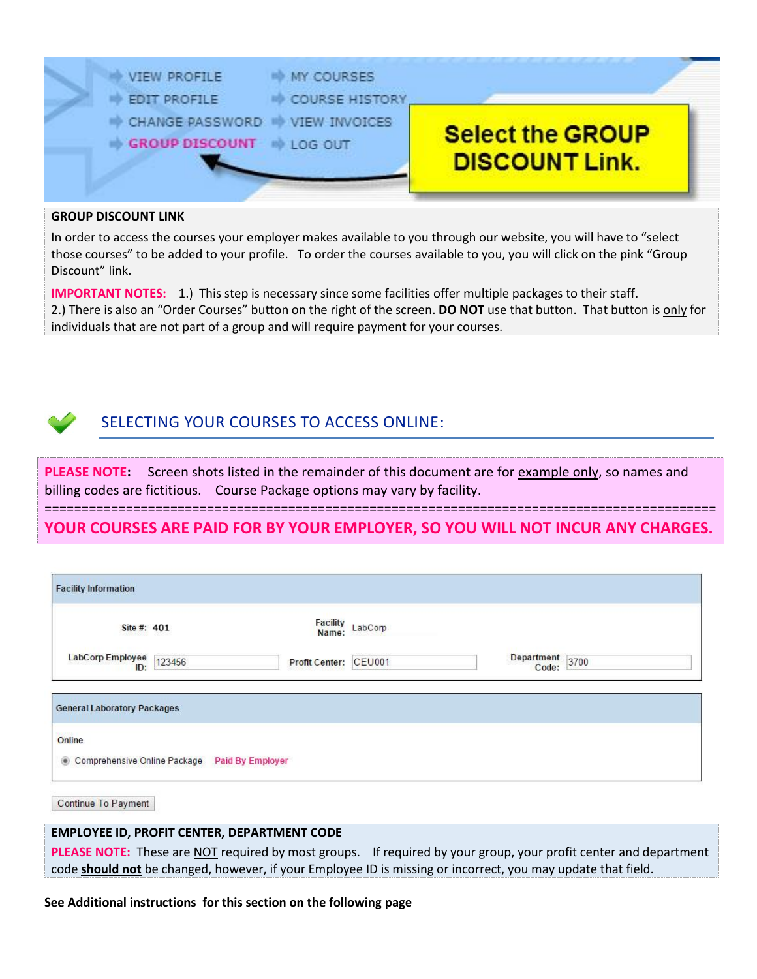

#### **GROUP DISCOUNT LINK**

In order to access the courses your employer makes available to you through our website, you will have to "select those courses" to be added to your profile. To order the courses available to you, you will click on the pink "Group Discount" link.

**IMPORTANT NOTES:** 1.) This step is necessary since some facilities offer multiple packages to their staff. 2.) There is also an "Order Courses" button on the right of the screen. **DO NOT** use that button. That button is only for individuals that are not part of a group and will require payment for your courses.



## SELECTING YOUR COURSES TO ACCESS ONLINE:

**PLEASE NOTE:** Screen shots listed in the remainder of this document are for example only, so names and billing codes are fictitious. Course Package options may vary by facility.

=========================================================================================== **YOUR COURSES ARE PAID FOR BY YOUR EMPLOYER, SO YOU WILL NOT INCUR ANY CHARGES.**

| <b>Facility Information</b>                    |        |                          |               |                          |  |
|------------------------------------------------|--------|--------------------------|---------------|--------------------------|--|
| Site #: 401                                    |        | <b>Facility</b><br>Name: | LabCorp       |                          |  |
| LabCorp Employee<br>ID:                        | 123456 | <b>Profit Center:</b>    | <b>CEU001</b> | Department 3700<br>Code: |  |
| <b>General Laboratory Packages</b>             |        |                          |               |                          |  |
| Online                                         |        |                          |               |                          |  |
| Comprehensive Online Package<br>$\circledcirc$ |        | <b>Paid By Employer</b>  |               |                          |  |

**Continue To Payment** 

### **EMPLOYEE ID, PROFIT CENTER, DEPARTMENT CODE**

**PLEASE NOTE:** These are NOT required by most groups. If required by your group, your profit center and department code **should not** be changed, however, if your Employee ID is missing or incorrect, you may update that field.

**See Additional instructions for this section on the following page**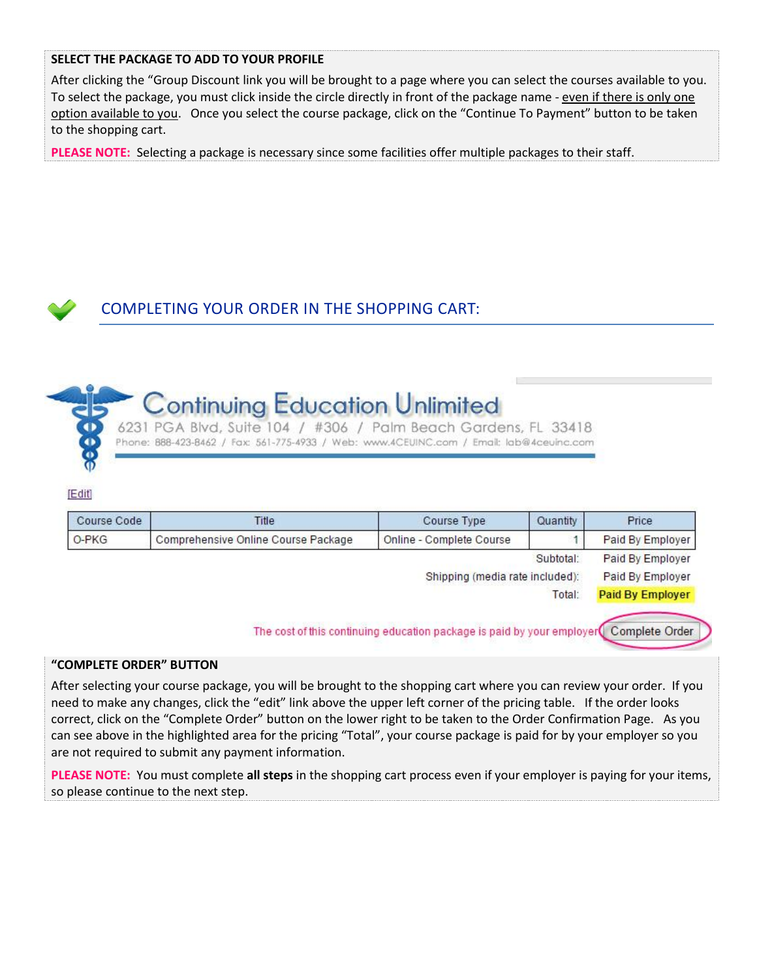## **SELECT THE PACKAGE TO ADD TO YOUR PROFILE**

After clicking the "Group Discount link you will be brought to a page where you can select the courses available to you. To select the package, you must click inside the circle directly in front of the package name - even if there is only one option available to you. Once you select the course package, click on the "Continue To Payment" button to be taken to the shopping cart.

**PLEASE NOTE:** Selecting a package is necessary since some facilities offer multiple packages to their staff.





6231 PGA Blvd, Suite 104 / #306 / Palm Beach Gardens, FL 33418 Phone: 888-423-8462 / Fax: 561-775-4933 / Web: www.4CEUINC.com / Email: lab@4ceuinc.com

#### [Edit]

| Price                   | Quantity  | Course Type                     | Title                               | Course Code |  |
|-------------------------|-----------|---------------------------------|-------------------------------------|-------------|--|
| Paid By Employer        |           | Online - Complete Course        | Comprehensive Online Course Package | O-PKG       |  |
| Paid By Employer        | Subtotal: |                                 |                                     |             |  |
| Paid By Employer        |           | Shipping (media rate included): |                                     |             |  |
| <b>Paid By Employer</b> | Total:    |                                 |                                     |             |  |

#### **"COMPLETE ORDER" BUTTON**

After selecting your course package, you will be brought to the shopping cart where you can review your order. If you need to make any changes, click the "edit" link above the upper left corner of the pricing table. If the order looks correct, click on the "Complete Order" button on the lower right to be taken to the Order Confirmation Page. As you can see above in the highlighted area for the pricing "Total", your course package is paid for by your employer so you are not required to submit any payment information.

**PLEASE NOTE:** You must complete **all steps** in the shopping cart process even if your employer is paying for your items, so please continue to the next step.